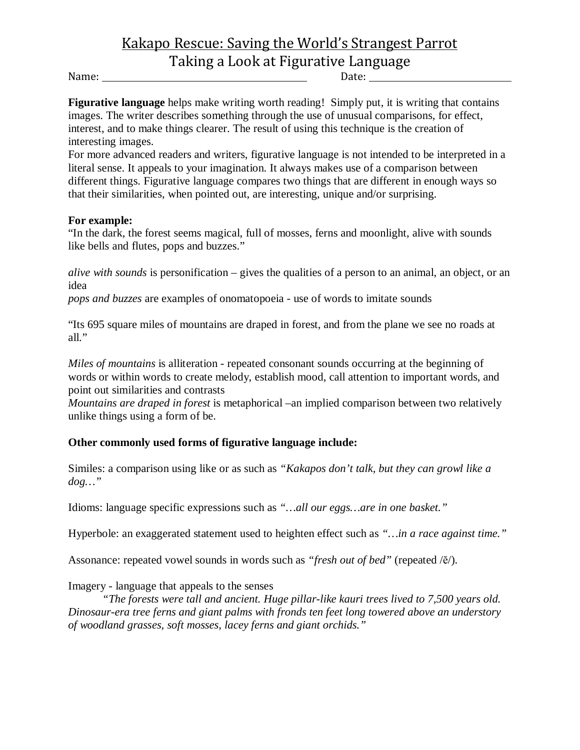## Kakapo Rescue: Saving the World's Strangest Parrot Taking a Look at Figurative Language

Name: Date:

**Figurative language** helps make writing worth reading! Simply put, it is writing that contains images. The writer describes something through the use of unusual comparisons, for effect, interest, and to make things clearer. The result of using this technique is the creation of interesting images.

For more advanced readers and writers, figurative language is not intended to be interpreted in a literal sense. It appeals to your imagination. It always makes use of a comparison between different things. Figurative language compares two things that are different in enough ways so that their similarities, when pointed out, are interesting, unique and/or surprising.

## **For example:**

"In the dark, the forest seems magical, full of mosses, ferns and moonlight, alive with sounds like bells and flutes, pops and buzzes."

*alive with sounds* is personification – gives the qualities of a person to an animal, an object, or an idea

*pops and buzzes* are examples of onomatopoeia - use of words to imitate sounds

"Its 695 square miles of mountains are draped in forest, and from the plane we see no roads at all."

*Miles of mountains* is alliteration - repeated consonant sounds occurring at the beginning of words or within words to create melody, establish mood, call attention to important words, and point out similarities and contrasts

*Mountains are draped in forest* is metaphorical –an implied comparison between two relatively unlike things using a form of be.

## **Other commonly used forms of figurative language include:**

Similes: a comparison using like or as such as *"Kakapos don't talk, but they can growl like a dog…"* 

Idioms: language specific expressions such as *"…all our eggs…are in one basket."*

Hyperbole: an exaggerated statement used to heighten effect such as *"…in a race against time."* 

Assonance: repeated vowel sounds in words such as *"fresh out of bed"* (repeated /ĕ/).

Imagery - language that appeals to the senses

*"The forests were tall and ancient. Huge pillar-like kauri trees lived to 7,500 years old. Dinosaur-era tree ferns and giant palms with fronds ten feet long towered above an understory of woodland grasses, soft mosses, lacey ferns and giant orchids."*